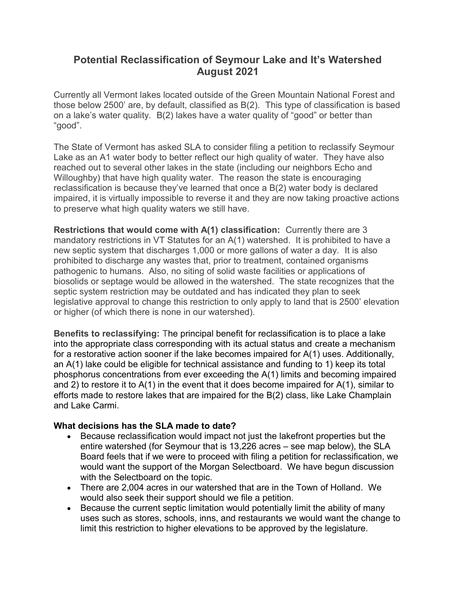## **Potential Reclassification of Seymour Lake and It's Watershed August 2021**

Currently all Vermont lakes located outside of the Green Mountain National Forest and those below 2500' are, by default, classified as B(2). This type of classification is based on a lake's water quality. B(2) lakes have a water quality of "good" or better than "good".

The State of Vermont has asked SLA to consider filing a petition to reclassify Seymour Lake as an A1 water body to better reflect our high quality of water. They have also reached out to several other lakes in the state (including our neighbors Echo and Willoughby) that have high quality water. The reason the state is encouraging reclassification is because they've learned that once a B(2) water body is declared impaired, it is virtually impossible to reverse it and they are now taking proactive actions to preserve what high quality waters we still have.

**Restrictions that would come with A(1) classification:** Currently there are 3 mandatory restrictions in VT Statutes for an A(1) watershed. It is prohibited to have a new septic system that discharges 1,000 or more gallons of water a day. It is also prohibited to discharge any wastes that, prior to treatment, contained organisms pathogenic to humans. Also, no siting of solid waste facilities or applications of biosolids or septage would be allowed in the watershed. The state recognizes that the septic system restriction may be outdated and has indicated they plan to seek legislative approval to change this restriction to only apply to land that is 2500' elevation or higher (of which there is none in our watershed).

**Benefits to reclassifying:** The principal benefit for reclassification is to place a lake into the appropriate class corresponding with its actual status and create a mechanism for a restorative action sooner if the lake becomes impaired for A(1) uses. Additionally, an A(1) lake could be eligible for technical assistance and funding to 1) keep its total phosphorus concentrations from ever exceeding the A(1) limits and becoming impaired and 2) to restore it to A(1) in the event that it does become impaired for A(1), similar to efforts made to restore lakes that are impaired for the B(2) class, like Lake Champlain and Lake Carmi.

## **What decisions has the SLA made to date?**

- Because reclassification would impact not just the lakefront properties but the entire watershed (for Seymour that is 13,226 acres – see map below), the SLA Board feels that if we were to proceed with filing a petition for reclassification, we would want the support of the Morgan Selectboard. We have begun discussion with the Selectboard on the topic.
- There are 2,004 acres in our watershed that are in the Town of Holland. We would also seek their support should we file a petition.
- Because the current septic limitation would potentially limit the ability of many uses such as stores, schools, inns, and restaurants we would want the change to limit this restriction to higher elevations to be approved by the legislature.